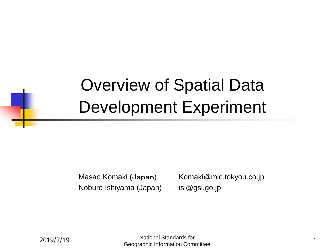## Overview of Spatial Data Development Experiment

Noburo Ishiyama (Japan) isi@gsi.go.jp

Masao Komaki (Japan) Komaki@mic.tokyou.co.jp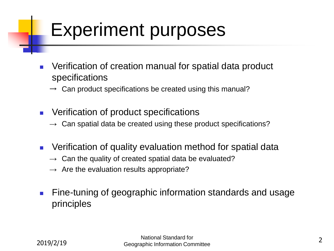## Experiment purposes

- Verification of creation manual for spatial data product specifications
	- $\rightarrow$  Can product specifications be created using this manual?
- Verification of product specifications
	- $\rightarrow$  Can spatial data be created using these product specifications?
- Verification of quality evaluation method for spatial data
	- $\rightarrow$  Can the quality of created spatial data be evaluated?
	- $\rightarrow$  Are the evaluation results appropriate?
- Fine-tuning of geographic information standards and usage principles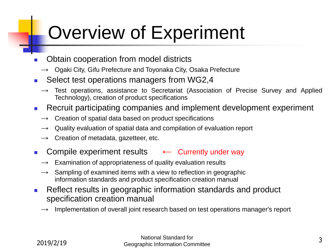# Overview of Experiment

- Obtain cooperation from model districts
	- Ogaki City, Gifu Prefecture and Toyonaka City, Osaka Prefecture
- Select test operations managers from WG2,4
	- $\rightarrow$  Test operations, assistance to Secretariat (Association of Precise Survey and Applied Technology), creation of product specifications
- Recruit participating companies and implement development experiment
	- Creation of spatial data based on product specifications
	- $\rightarrow$  Quality evaluation of spatial data and compilation of evaluation report
	- $\rightarrow$  Creation of metadata, gazetteer, etc.
- Compile experiment results ← Currently under way
	- $\rightarrow$  Examination of appropriateness of quality evaluation results
	- $\rightarrow$  Sampling of examined items with a view to reflection in geographic information standards and product specification creation manual
- Reflect results in geographic information standards and product specification creation manual
	- Implementation of overall joint research based on test operations manager's report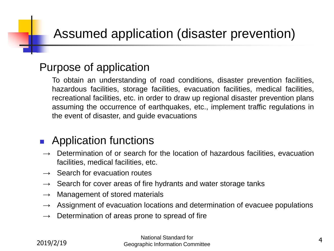#### Purpose of application

To obtain an understanding of road conditions, disaster prevention facilities, hazardous facilities, storage facilities, evacuation facilities, medical facilities, recreational facilities, etc. in order to draw up regional disaster prevention plans assuming the occurrence of earthquakes, etc., implement traffic regulations in the event of disaster, and guide evacuations

#### ■ Application functions

- $\rightarrow$  Determination of or search for the location of hazardous facilities, evacuation facilities, medical facilities, etc.
- $\rightarrow$  Search for evacuation routes
- $\rightarrow$  Search for cover areas of fire hydrants and water storage tanks
- $\rightarrow$  Management of stored materials
- $\rightarrow$  Assignment of evacuation locations and determination of evacuee populations
- $\rightarrow$  Determination of areas prone to spread of fire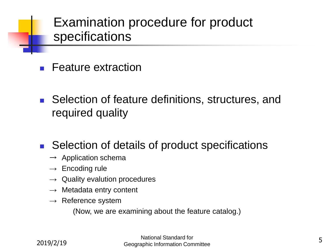#### Examination procedure for product specifications

- **Feature extraction**
- Selection of feature definitions, structures, and required quality
- Selection of details of product specifications
	- $\rightarrow$  Application schema
	- $\rightarrow$  Encoding rule
	- $\rightarrow$  Quality evalution procedures
	- $\rightarrow$  Metadata entry content
	- $\rightarrow$  Reference system

(Now, we are examining about the feature catalog.)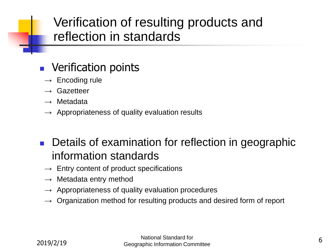#### Verification of resulting products and reflection in standards

#### ■ Verification points

- $\rightarrow$  Encoding rule
- $\rightarrow$  Gazetteer
- $\rightarrow$  Metadata
- $\rightarrow$  Appropriateness of quality evaluation results

#### Details of examination for reflection in geographic information standards

- $\rightarrow$  Entry content of product specifications
- $\rightarrow$  Metadata entry method
- $\rightarrow$  Appropriateness of quality evaluation procedures
- $\rightarrow$  Organization method for resulting products and desired form of report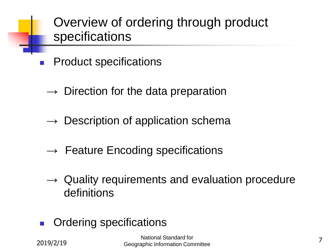Overview of ordering through product specifications

- **Product specifications** 
	- $\rightarrow$  Direction for the data preparation
	- $\rightarrow$  Description of application schema
	- $\rightarrow$  Feature Encoding specifications
	- $\rightarrow$  Quality requirements and evaluation procedure definitions
- Ordering specifications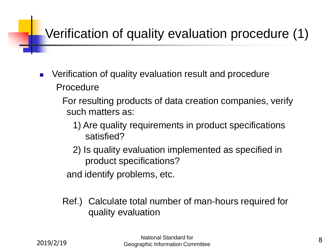## Verification of quality evaluation procedure (1)

- Verification of quality evaluation result and procedure Procedure
	- For resulting products of data creation companies, verify such matters as:
		- 1) Are quality requirements in product specifications satisfied?
		- 2) Is quality evaluation implemented as specified in product specifications?

and identify problems, etc.

Ref.) Calculate total number of man-hours required for quality evaluation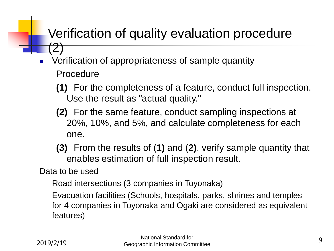#### Verification of quality evaluation procedure (2)

- Verification of appropriateness of sample quantity Procedure
	- **(1)** For the completeness of a feature, conduct full inspection. Use the result as "actual quality."
	- **(2)** For the same feature, conduct sampling inspections at 20%, 10%, and 5%, and calculate completeness for each one.
	- **(3)** From the results of (**1)** and (**2)**, verify sample quantity that enables estimation of full inspection result.

Data to be used

Road intersections (3 companies in Toyonaka)

Evacuation facilities (Schools, hospitals, parks, shrines and temples for 4 companies in Toyonaka and Ogaki are considered as equivalent features)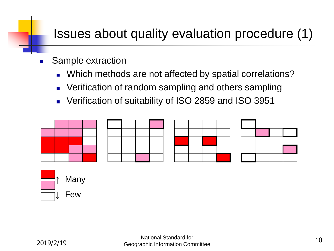### Issues about quality evaluation procedure (1)

- Sample extraction
	- Which methods are not affected by spatial correlations?
	- Verification of random sampling and others sampling
	- <sup>◼</sup> Verification of suitability of ISO 2859 and ISO 3951









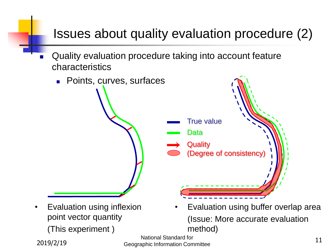### Issues about quality evaluation procedure (2)

Quality evaluation procedure taking into account feature characteristics



11 Beographic Information Committee 11<br>
2019/2/19 Geographic Information Committee